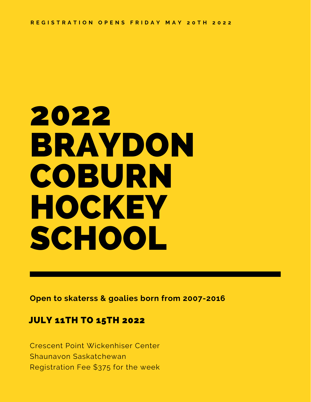# 2022 BRAYDON COBURN HOCKEY SCHOOL

**Open to skaterss & goalies born from 2007-2016**

#### JULY 11TH TO 15TH 2022

Crescent Point Wickenhiser Center Shaunavon Saskatchewan Registration Fee \$375 for the week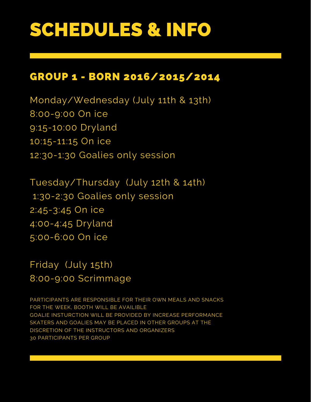## SCHEDULES & INFO

### GROUP 1 - BORN 2016/2015/2014

Monday/Wednesday (July 11th & 13th) 8:00-9:00 On ice 9:15-10:00 Dryland 10:15-11:15 On ice 12:30-1:30 Goalies only session

Tuesday/Thursday (July 12th & 14th) 1:30-2:30 Goalies only session 2:45-3:45 On ice 4:00-4:45 Dryland 5:00-6:00 On ice

Friday (July 15th) 8:00-9:00 Scrimmage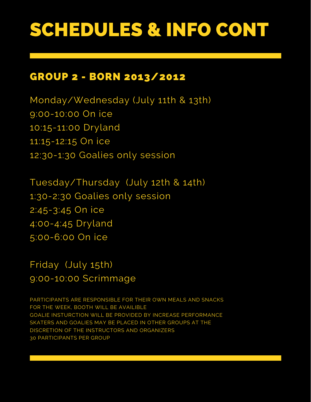## SCHEDULES & INFO CONT

#### GROUP 2 - BORN 2013/2012

Monday/Wednesday (July 11th & 13th) 9:00-10:00 On ice 10:15-11:00 Dryland 11:15-12:15 On ice 12:30-1:30 Goalies only session

Tuesday/Thursday (July 12th & 14th) 1:30-2:30 Goalies only session 2:45-3:45 On ice 4:00-4:45 Dryland 5:00-6:00 On ice

Friday (July 15th) 9:00-10:00 Scrimmage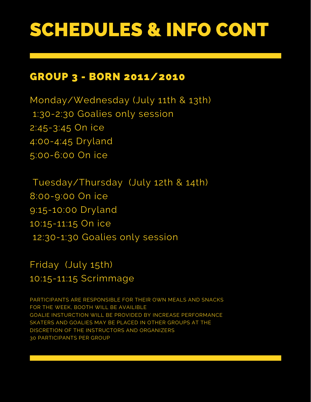## SCHEDULES & INFO CONT

#### GROUP 3 - BORN 2011/2010

Monday/Wednesday (July 11th & 13th) 1:30-2:30 Goalies only session 2:45-3:45 On ice 4:00-4:45 Dryland 5:00-6:00 On ice

Tuesday/Thursday (July 12th & 14th) 8:00-9:00 On ice 9:15-10:00 Dryland 10:15-11:15 On ice 12:30-1:30 Goalies only session

Friday (July 15th) 10:15-11:15 Scrimmage